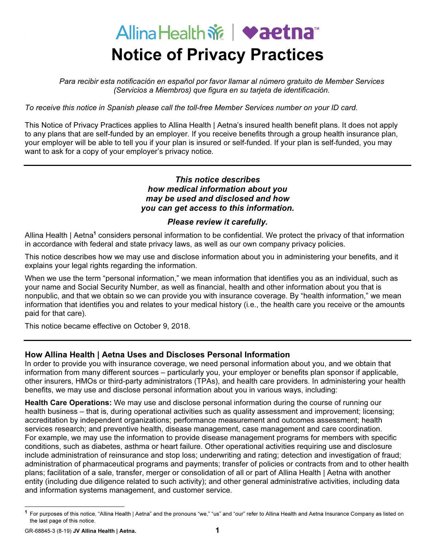# Allina Health  $\mathbf{\hat{m}}$   $\blacktriangleright$  aetna<sup>®</sup> Notice of Privacy Practices

Para recibir esta notificación en español por favor llamar al número gratuito de Member Services (Servicios a Miembros) que figura en su tarjeta de identificación.

To receive this notice in Spanish please call the toll-free Member Services number on your ID card.

This Notice of Privacy Practices applies to Allina Health | Aetna's insured health benefit plans. It does not apply to any plans that are self-funded by an employer. If you receive benefits through a group health insurance plan, your employer will be able to tell you if your plan is insured or self-funded. If your plan is self-funded, you may want to ask for a copy of your employer's privacy notice.

### This notice describes how medical information about you may be used and disclosed and how you can get access to this information.

#### Please review it carefully.

Allina Health | Aetna<sup>1</sup> considers personal information to be confidential. We protect the privacy of that information in accordance with federal and state privacy laws, as well as our own company privacy policies.

This notice describes how we may use and disclose information about you in administering your benefits, and it explains your legal rights regarding the information.

When we use the term "personal information," we mean information that identifies you as an individual, such as your name and Social Security Number, as well as financial, health and other information about you that is nonpublic, and that we obtain so we can provide you with insurance coverage. By "health information," we mean information that identifies you and relates to your medical history (i.e., the health care you receive or the amounts paid for that care).

This notice became effective on October 9, 2018.

## How Allina Health | Aetna Uses and Discloses Personal Information

In order to provide you with insurance coverage, we need personal information about you, and we obtain that information from many different sources – particularly you, your employer or benefits plan sponsor if applicable, other insurers, HMOs or third-party administrators (TPAs), and health care providers. In administering your health benefits, we may use and disclose personal information about you in various ways, including:

Health Care Operations: We may use and disclose personal information during the course of running our health business – that is, during operational activities such as quality assessment and improvement; licensing; accreditation by independent organizations; performance measurement and outcomes assessment; health services research; and preventive health, disease management, case management and care coordination. For example, we may use the information to provide disease management programs for members with specific conditions, such as diabetes, asthma or heart failure. Other operational activities requiring use and disclosure include administration of reinsurance and stop loss; underwriting and rating; detection and investigation of fraud; administration of pharmaceutical programs and payments; transfer of policies or contracts from and to other health plans; facilitation of a sale, transfer, merger or consolidation of all or part of Allina Health | Aetna with another entity (including due diligence related to such activity); and other general administrative activities, including data and information systems management, and customer service.

GR-68845-3 (8-19) JV Allina Health | Aetna. 1

<sup>&</sup>lt;sup>1</sup> For purposes of this notice, "Allina Health | Aetna" and the pronouns "we," "us" and "our" refer to Allina Health and Aetna Insurance Company as listed on the last page of this notice.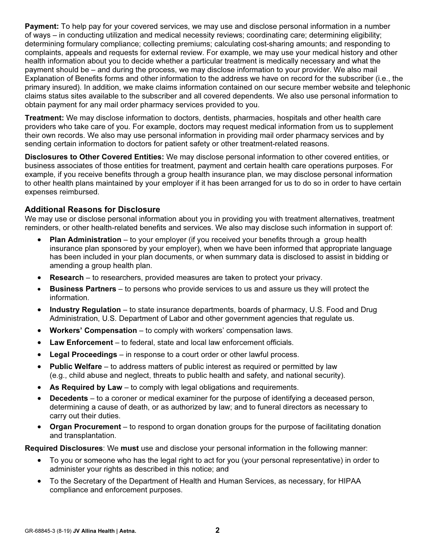Payment: To help pay for your covered services, we may use and disclose personal information in a number of ways – in conducting utilization and medical necessity reviews; coordinating care; determining eligibility; determining formulary compliance; collecting premiums; calculating cost-sharing amounts; and responding to complaints, appeals and requests for external review. For example, we may use your medical history and other health information about you to decide whether a particular treatment is medically necessary and what the payment should be – and during the process, we may disclose information to your provider. We also mail Explanation of Benefits forms and other information to the address we have on record for the subscriber (i.e., the primary insured). In addition, we make claims information contained on our secure member website and telephonic claims status sites available to the subscriber and all covered dependents. We also use personal information to obtain payment for any mail order pharmacy services provided to you.

Treatment: We may disclose information to doctors, dentists, pharmacies, hospitals and other health care providers who take care of you. For example, doctors may request medical information from us to supplement their own records. We also may use personal information in providing mail order pharmacy services and by sending certain information to doctors for patient safety or other treatment-related reasons.

Disclosures to Other Covered Entities: We may disclose personal information to other covered entities, or business associates of those entities for treatment, payment and certain health care operations purposes. For example, if you receive benefits through a group health insurance plan, we may disclose personal information to other health plans maintained by your employer if it has been arranged for us to do so in order to have certain expenses reimbursed.

#### Additional Reasons for Disclosure

We mav use or disclose personal information about you in providing you with treatment alternatives, treatment reminders, or other health-related benefits and services. We also may disclose such information in support of:

- $\overline{a}$ Plan Administration – to your employer (if you received your benefits through a group health insurance plan sponsored by your employer), when we have been informed that appropriate language has been included in your plan documents, or when summary data is disclosed to assist in bidding or amending a group health plan.
- $\overline{a}$ Research – to researchers, provided measures are taken to protect your privacy.
- $\bullet$  Business Partners – to persons who provide services to us and assure us they will protect the information.
- $\overline{a}$  Industry Regulation – to state insurance departments, boards of pharmacy, U.S. Food and Drug Administration, U.S. Department of Labor and other government agencies that regulate us.
- $\bullet$ Workers' Compensation – to comply with workers' compensation laws.
- $\overline{a}$ Law Enforcement – to federal, state and local law enforcement officials.
- $\bullet$ Legal Proceedings – in response to a court order or other lawful process.
- $\bullet$ Public Welfare – to address matters of public interest as required or permitted by law (e.g., child abuse and neglect, threats to public health and safety, and national security).
- $\overline{a}$ As Required by Law – to comply with legal obligations and requirements.
- $\overline{a}$  Decedents – to a coroner or medical examiner for the purpose of identifying a deceased person, determining a cause of death, or as authorized by law; and to funeral directors as necessary to carry out their duties.
- Organ Procurement to respond to organ donation groups for the purpose of facilitating donation and transplantation.

Required Disclosures: We must use and disclose your personal information in the following manner:

- .<br>- To you or someone who has the legal right to act for you (your personal representative) in order to administer your rights as described in this notice; and
- $\overline{a}$  To the Secretary of the Department of Health and Human Services, as necessary, for HIPAA compliance and enforcement purposes.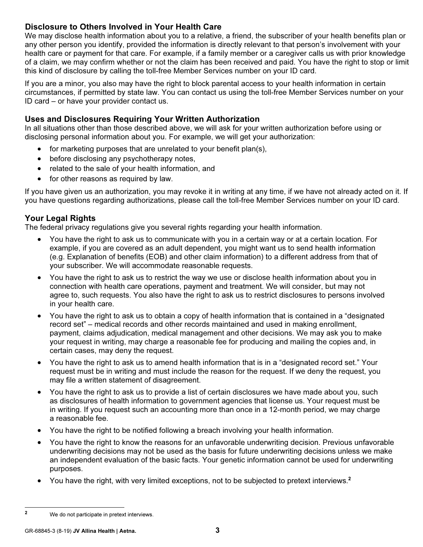# Disclosure to Others Involved in Your Health Care

We may disclose health information about you to a relative, a friend, the subscriber of your health benefits plan or any other person you identify, provided the information is directly relevant to that person's involvement with your health care or payment for that care. For example, if a family member or a caregiver calls us with prior knowledge of a claim, we may confirm whether or not the claim has been received and paid. You have the right to stop or limit this kind of disclosure by calling the toll-free Member Services number on your ID card.

If you are a minor, you also may have the right to block parental access to your health information in certain circumstances, if permitted by state law. You can contact us using the toll-free Member Services number on your ID card – or have your provider contact us.

# Uses and Disclosures Requiring Your Written Authorization

In all situations other than those described above, we will ask for your written authorization before using or disclosing personal information about you. For example, we will get your authorization:

- for marketing purposes that are unrelated to your benefit plan(s),
- **before disclosing any psychotherapy notes**,
- **example in the sale of your health information, and**
- for other reasons as required by law.

If you have given us an authorization, you may revoke it in writing at any time, if we have not already acted on it. If you have questions regarding authorizations, please call the toll-free Member Services number on your ID card.

## Your Legal Rights

The federal privacy regulations give you several rights regarding your health information.

- $\overline{a}$  You have the right to ask us to communicate with you in a certain way or at a certain location. For example, if you are covered as an adult dependent, you might want us to send health information (e.g. Explanation of benefits (EOB) and other claim information) to a different address from that of your subscriber. We will accommodate reasonable requests.
- $\bullet$  You have the right to ask us to restrict the way we use or disclose health information about you in connection with health care operations, payment and treatment. We will consider, but may not agree to, such requests. You also have the right to ask us to restrict disclosures to persons involved in your health care.
- $\overline{a}$  You have the right to ask us to obtain a copy of health information that is contained in a "designated record set" – medical records and other records maintained and used in making enrollment, payment, claims adjudication, medical management and other decisions. We may ask you to make your request in writing, may charge a reasonable fee for producing and mailing the copies and, in certain cases, may deny the request.
- $\bullet$  You have the right to ask us to amend health information that is in a "designated record set." Your request must be in writing and must include the reason for the request. If we deny the request, you may file a written statement of disagreement.
- $\bullet$  You have the right to ask us to provide a list of certain disclosures we have made about you, such as disclosures of health information to government agencies that license us. Your request must be in writing. If you request such an accounting more than once in a 12-month period, we may charge a reasonable fee.
- $\overline{a}$ You have the right to be notified following a breach involving your health information.
- $\bullet$  You have the right to know the reasons for an unfavorable underwriting decision. Previous unfavorable underwriting decisions may not be used as the basis for future underwriting decisions unless we make an independent evaluation of the basic facts. Your genetic information cannot be used for underwriting purposes.
- $\overline{a}$ You have the right, with very limited exceptions, not to be subjected to pretext interviews.<sup>2</sup>

<sup>2</sup> We do not participate in pretext interviews.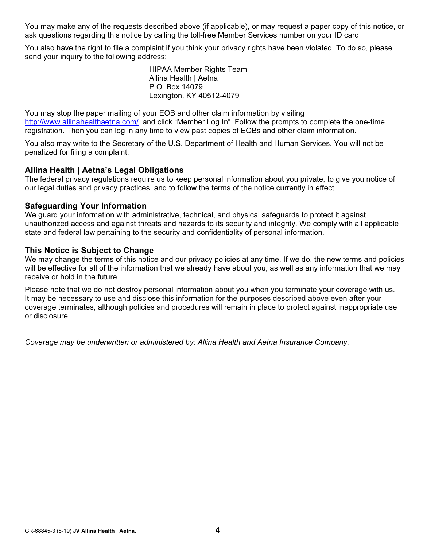You may make any of the requests described above (if applicable), or may request a paper copy of this notice, or ask questions regarding this notice by calling the toll-free Member Services number on your ID card.

You also have the right to file a complaint if you think your privacy rights have been violated. To do so, please send your inquiry to the following address:

> HIPAA Member Rights Team Allina Health | Aetna P.O. Box 14079 Lexington, KY 40512-4079

You may stop the paper mailing of your EOB and other claim information by visiting <http://www.allinahealthaetna.com/> and click "Member Log In". Follow the prompts to complete the one-time registration. Then you can log in any time to view past copies of EOBs and other claim information.

You also may write to the Secretary of the U.S. Department of Health and Human Services. You will not be penalized for filing a complaint.

#### Allina Health | Aetna's Legal Obligations

The federal privacy regulations require us to keep personal information about you private, to give you notice of our legal duties and privacy practices, and to follow the terms of the notice currently in effect.

#### Safeguarding Your Information

We guard your information with administrative, technical, and physical safeguards to protect it against unauthorized access and against threats and hazards to its security and integrity. We comply with all applicable state and federal law pertaining to the security and confidentiality of personal information.

#### This Notice is Subject to Change

We may change the terms of this notice and our privacy policies at any time. If we do, the new terms and policies will be effective for all of the information that we already have about you, as well as any information that we may receive or hold in the future.

Please note that we do not destroy personal information about you when you terminate your coverage with us. It may be necessary to use and disclose this information for the purposes described above even after your coverage terminates, although policies and procedures will remain in place to protect against inappropriate use or disclosure.

Coverage may be underwritten or administered by: Allina Health and Aetna Insurance Company.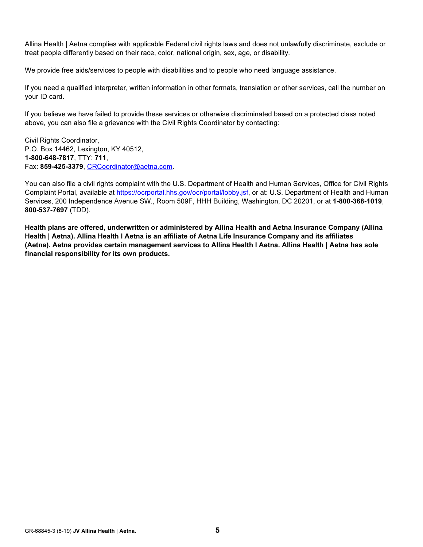Allina Health | Aetna complies with applicable Federal civil rights laws and does not unlawfully discriminate, exclude or treat people differently based on their race, color, national origin, sex, age, or disability.

We provide free aids/services to people with disabilities and to people who need language assistance.

If you need a qualified interpreter, written information in other formats, translation or other services, call the number on your ID card.

If you believe we have failed to provide these services or otherwise discriminated based on a protected class noted above, you can also file a grievance with the Civil Rights Coordinator by contacting:

Civil Rights Coordinator, P.O. Box 14462, Lexington, KY 40512, 1-800-648-7817, TTY: 711, Fax: 859-425-3379, [CRCoordinator@aetna.com.](mailto:CRCoordinator@aetna.com)

You can also file a civil rights complaint with the U.S. Department of Health and Human Services, Office for Civil Rights Complaint Portal, available at [https://ocrportal.hhs.gov/ocr/portal/lobby.jsf,](https://ocrportal.hhs.gov/ocr/portal/lobby.jsf) or at: U.S. Department of Health and Human Services, 200 Independence Avenue SW., Room 509F, HHH Building, Washington, DC 20201, or at 1-800-368-1019, 800-537-7697 (TDD).

Health plans are offered, underwritten or administered by Allina Health and Aetna Insurance Company (Allina Health | Aetna). Allina Health l Aetna is an affiliate of Aetna Life Insurance Company and its affiliates (Aetna). Aetna provides certain management services to Allina Health l Aetna. Allina Health | Aetna has sole financial responsibility for its own products.